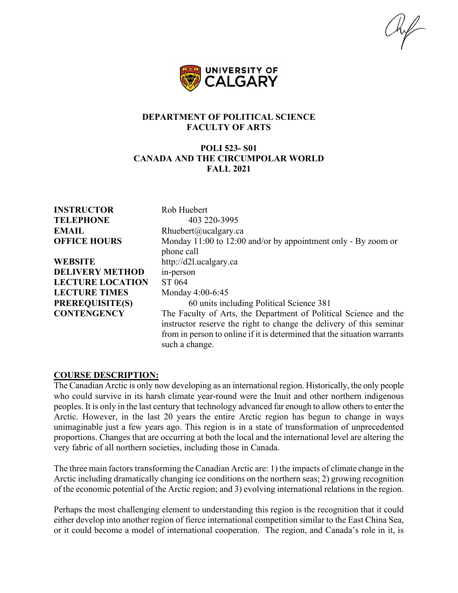$\mathbb{R}$ 



### **DEPARTMENT OF POLITICAL SCIENCE FACULTY OF ARTS**

## **POLI 523- S01 CANADA AND THE CIRCUMPOLAR WORLD FALL 2021**

**INSTRUCTOR** Rob Huebert **TELEPHONE** 403 220-3995 **EMAIL** Rhuebert@ucalgary.ca **OFFICE HOURS** Monday 11:00 to 12:00 and/or by appointment only - By zoom or phone call **WEBSITE** http://d2l.ucalgary.ca **DELIVERY METHOD** in-person **LECTURE LOCATION** ST 064 **LECTURE TIMES** Monday 4:00-6:45 **PREREQUISITE(S)** 60 units including Political Science 381 **CONTENGENCY** The Faculty of Arts, the Department of Political Science and the instructor reserve the right to change the delivery of this seminar from in person to online if it is determined that the situation warrants such a change.

### **COURSE DESCRIPTION:**

The Canadian Arctic is only now developing as an international region. Historically, the only people who could survive in its harsh climate year-round were the Inuit and other northern indigenous peoples. It is only in the last century that technology advanced far enough to allow others to enter the Arctic. However, in the last 20 years the entire Arctic region has begun to change in ways unimaginable just a few years ago. This region is in a state of transformation of unprecedented proportions. Changes that are occurring at both the local and the international level are altering the very fabric of all northern societies, including those in Canada.

The three main factors transforming the Canadian Arctic are: 1) the impacts of climate change in the Arctic including dramatically changing ice conditions on the northern seas; 2) growing recognition of the economic potential of the Arctic region; and 3) evolving international relations in the region.

Perhaps the most challenging element to understanding this region is the recognition that it could either develop into another region of fierce international competition similar to the East China Sea, or it could become a model of international cooperation. The region, and Canada's role in it, is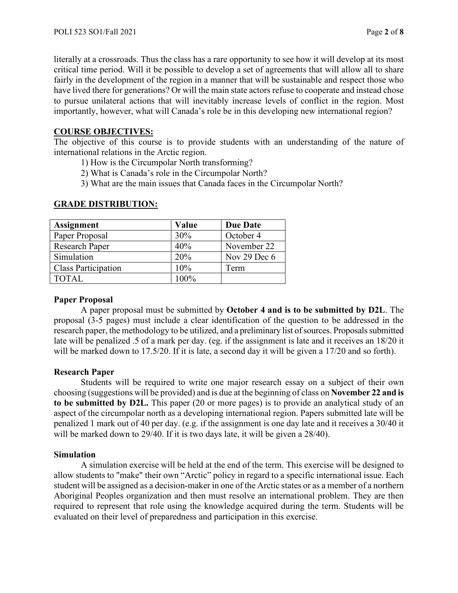literally at a crossroads. Thus the class has a rare opportunity to see how it will develop at its most critical time period. Will it be possible to develop a set of agreements that will allow all to share fairly in the development of the region in a manner that will be sustainable and respect those who have lived there for generations? Or will the main state actors refuse to cooperate and instead chose to pursue unilateral actions that will inevitably increase levels of conflict in the region. Most importantly, however, what will Canada's role be in this developing new international region?

## **COURSE OBJECTIVES:**

The objective of this course is to provide students with an understanding of the nature of international relations in the Arctic region.

- 1) How is the Circumpolar North transforming?
- 2) What is Canada's role in the Circumpolar North?
- 3) What are the main issues that Canada faces in the Circumpolar North?

| <b>Assignment</b>          | Value | <b>Due Date</b> |
|----------------------------|-------|-----------------|
| Paper Proposal             | 30%   | October 4       |
| <b>Research Paper</b>      | 40%   | November 22     |
| Simulation                 | 20%   | Nov 29 Dec $6$  |
| <b>Class Participation</b> | 10%   | Term            |
| <b>TOTAL</b>               | 100%  |                 |

## **GRADE DISTRIBUTION:**

## **Paper Proposal**

A paper proposal must be submitted by **October 4 and is to be submitted by D2L**. The proposal (3-5 pages) must include a clear identification of the question to be addressed in the research paper, the methodology to be utilized, and a preliminary list of sources. Proposals submitted late will be penalized .5 of a mark per day. (eg. if the assignment is late and it receives an 18/20 it will be marked down to 17.5/20. If it is late, a second day it will be given a 17/20 and so forth).

### **Research Paper**

Students will be required to write one major research essay on a subject of their own choosing (suggestions will be provided) and is due at the beginning of class on **November 22 and is to be submitted by D2L.** This paper (20 or more pages) is to provide an analytical study of an aspect of the circumpolar north as a developing international region. Papers submitted late will be penalized 1 mark out of 40 per day. (e.g. if the assignment is one day late and it receives a 30/40 it will be marked down to 29/40. If it is two days late, it will be given a 28/40).

### **Simulation**

A simulation exercise will be held at the end of the term. This exercise will be designed to allow students to "make" their own "Arctic" policy in regard to a specific international issue. Each student will be assigned as a decision-maker in one of the Arctic states or as a member of a northern Aboriginal Peoples organization and then must resolve an international problem. They are then required to represent that role using the knowledge acquired during the term. Students will be evaluated on their level of preparedness and participation in this exercise.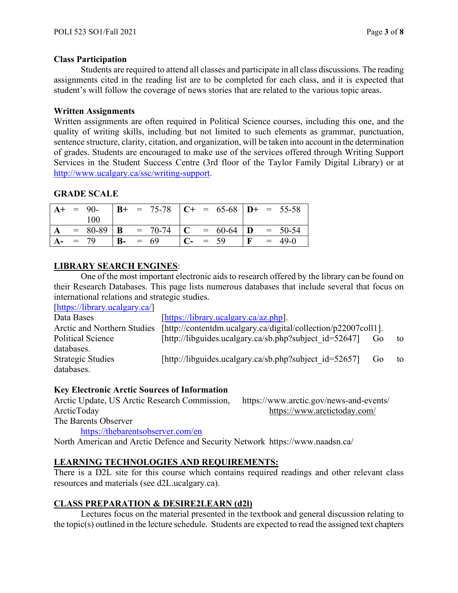### **Class Participation**

Students are required to attend all classes and participate in all class discussions. The reading assignments cited in the reading list are to be completed for each class, and it is expected that student's will follow the coverage of news stories that are related to the various topic areas.

### **Written Assignments**

Written assignments are often required in Political Science courses, including this one, and the quality of writing skills, including but not limited to such elements as grammar, punctuation, sentence structure, clarity, citation, and organization, will be taken into account in the determination of grades. Students are encouraged to make use of the services offered through Writing Support Services in the Student Success Centre (3rd floor of the Taylor Family Digital Library) or at [http://www.ucalgary.ca/ssc/writing-support.](http://www.ucalgary.ca/ssc/writing-support)

### **GRADE SCALE**

|  | $A+ = 90-$ |  | $\vert$ <b>B</b> + = 75-78 $\vert$ <b>C</b> + = 65-68 $\vert$ <b>D</b> + = 55-58 |  |                                                                                         |  |  |
|--|------------|--|----------------------------------------------------------------------------------|--|-----------------------------------------------------------------------------------------|--|--|
|  | 100        |  |                                                                                  |  |                                                                                         |  |  |
|  |            |  | $= 80-89$   <b>B</b> $= 70-74$   <b>C</b> $= 60-64$   <b>D</b> $= 50-54$         |  |                                                                                         |  |  |
|  | $A - = 79$ |  | $B - = 69$                                                                       |  | $\begin{vmatrix} C - 1 & 59 \end{vmatrix}$ $\begin{vmatrix} F & 1 & 49-0 \end{vmatrix}$ |  |  |

### **LIBRARY SEARCH ENGINES**:

One of the most important electronic aids to research offered by the library can be found on their Research Databases. This page lists numerous databases that include several that focus on international relations and strategic studies. [\[https://library.ucalgary.ca/\]](https://library.ucalgary.ca/)

| $\mu$ uups.// $\mu$ uual y.ucalgal y.ca/ $\mu$ |                                                                |                |    |
|------------------------------------------------|----------------------------------------------------------------|----------------|----|
| Data Bases                                     | [https://library.ucalgary.ca/az.php].                          |                |    |
| Arctic and Northern Studies                    | [http://contentdm.ucalgary.ca/digital/collection/p22007coll1]. |                |    |
| Political Science                              | [http://libguides.ucalgary.ca/sb.php?subject $id=52647$ ]      | Go             | to |
| databases.                                     |                                                                |                |    |
| <b>Strategic Studies</b>                       | [http://libguides.ucalgary.ca/sb.php?subject $id=52657$ ]      | G <sub>0</sub> | to |
| databases.                                     |                                                                |                |    |

### **Key Electronic Arctic Sources of Information**

Arctic Update, US Arctic Research Commission, https://www.arctic.gov/news-and-events/ ArcticToday https://www.arctictoday.com/ The Barents Observer

<https://thebarentsobserver.com/en>

North American and Arctic Defence and Security Network https://www.naadsn.ca/

### **LEARNING TECHNOLOGIES AND REQUIREMENTS:**

There is a D2L site for this course which contains required readings and other relevant class resources and materials (see d2L.ucalgary.ca).

### **CLASS PREPARATION & DESIRE2LEARN (d2l)**

Lectures focus on the material presented in the textbook and general discussion relating to the topic(s) outlined in the lecture schedule. Students are expected to read the assigned text chapters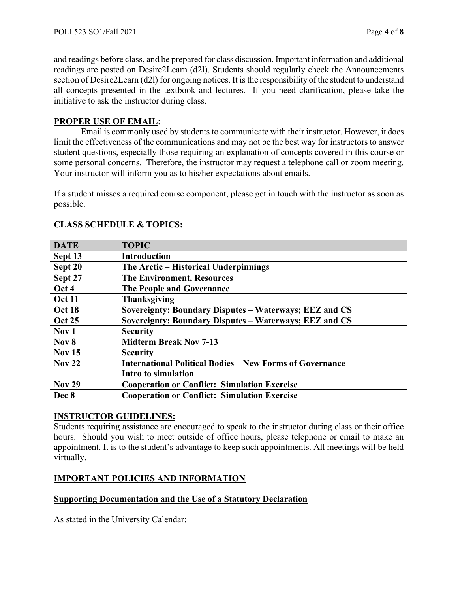and readings before class, and be prepared for class discussion. Important information and additional readings are posted on Desire2Learn (d2l). Students should regularly check the Announcements section of Desire2Learn (d2l) for ongoing notices. It is the responsibility of the student to understand all concepts presented in the textbook and lectures. If you need clarification, please take the initiative to ask the instructor during class.

## **PROPER USE OF EMAIL**:

Email is commonly used by students to communicate with their instructor. However, it does limit the effectiveness of the communications and may not be the best way for instructors to answer student questions, especially those requiring an explanation of concepts covered in this course or some personal concerns. Therefore, the instructor may request a telephone call or zoom meeting. Your instructor will inform you as to his/her expectations about emails.

If a student misses a required course component, please get in touch with the instructor as soon as possible.

| <b>DATE</b>      | <b>TOPIC</b>                                                    |
|------------------|-----------------------------------------------------------------|
| Sept 13          | <b>Introduction</b>                                             |
| Sept 20          | The Arctic – Historical Underpinnings                           |
| Sept 27          | <b>The Environment, Resources</b>                               |
| Oct 4            | The People and Governance                                       |
| <b>Oct 11</b>    | <b>Thanksgiving</b>                                             |
| Oct 18           | Sovereignty: Boundary Disputes – Waterways; EEZ and CS          |
| <b>Oct 25</b>    | Sovereignty: Boundary Disputes - Waterways; EEZ and CS          |
| Nov <sub>1</sub> | <b>Security</b>                                                 |
| Nov 8            | <b>Midterm Break Nov 7-13</b>                                   |
| <b>Nov 15</b>    | <b>Security</b>                                                 |
| <b>Nov 22</b>    | <b>International Political Bodies – New Forms of Governance</b> |
|                  | Intro to simulation                                             |
| <b>Nov 29</b>    | <b>Cooperation or Conflict: Simulation Exercise</b>             |
| Dec 8            | <b>Cooperation or Conflict: Simulation Exercise</b>             |

# **CLASS SCHEDULE & TOPICS:**

## **INSTRUCTOR GUIDELINES:**

Students requiring assistance are encouraged to speak to the instructor during class or their office hours. Should you wish to meet outside of office hours, please telephone or email to make an appointment. It is to the student's advantage to keep such appointments. All meetings will be held virtually.

# **IMPORTANT POLICIES AND INFORMATION**

## **Supporting Documentation and the Use of a Statutory Declaration**

As stated in the University Calendar: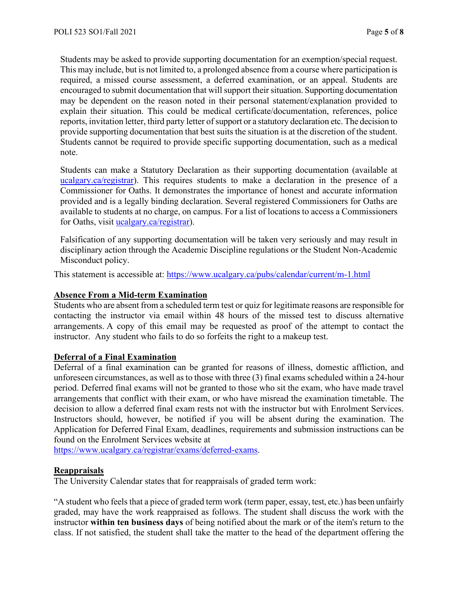Students may be asked to provide supporting documentation for an exemption/special request. This may include, but is not limited to, a prolonged absence from a course where participation is required, a missed course assessment, a deferred examination, or an appeal. Students are encouraged to submit documentation that will support their situation. Supporting documentation may be dependent on the reason noted in their personal statement/explanation provided to explain their situation. This could be medical certificate/documentation, references, police reports, invitation letter, third party letter of support or a statutory declaration etc. The decision to provide supporting documentation that best suits the situation is at the discretion of the student. Students cannot be required to provide specific supporting documentation, such as a medical note.

Students can make a Statutory Declaration as their supporting documentation (available at ucalgary.ca/registrar). This requires students to make a declaration in the presence of a Commissioner for Oaths. It demonstrates the importance of honest and accurate information provided and is a legally binding declaration. Several registered Commissioners for Oaths are available to students at no charge, on campus. For a list of locations to access a Commissioners for Oaths, visit [ucalgary.ca/registrar\)](http://www.ucalgary.ca/registrar).

Falsification of any supporting documentation will be taken very seriously and may result in disciplinary action through the Academic Discipline regulations or the Student Non-Academic Misconduct policy.

This statement is accessible at:<https://www.ucalgary.ca/pubs/calendar/current/m-1.html>

### **Absence From a Mid-term Examination**

Students who are absent from a scheduled term test or quiz for legitimate reasons are responsible for contacting the instructor via email within 48 hours of the missed test to discuss alternative arrangements. A copy of this email may be requested as proof of the attempt to contact the instructor. Any student who fails to do so forfeits the right to a makeup test.

### **Deferral of a Final Examination**

Deferral of a final examination can be granted for reasons of illness, domestic affliction, and unforeseen circumstances, as well as to those with three (3) final exams scheduled within a 24-hour period. Deferred final exams will not be granted to those who sit the exam, who have made travel arrangements that conflict with their exam, or who have misread the examination timetable. The decision to allow a deferred final exam rests not with the instructor but with Enrolment Services. Instructors should, however, be notified if you will be absent during the examination. The Application for Deferred Final Exam, deadlines, requirements and submission instructions can be found on the Enrolment Services website at

[https://www.ucalgary.ca/registrar/exams/deferred-exams.](https://www.ucalgary.ca/registrar/exams/deferred-exams)

### **Reappraisals**

The University Calendar states that for reappraisals of graded term work:

"A student who feels that a piece of graded term work (term paper, essay, test, etc.) has been unfairly graded, may have the work reappraised as follows. The student shall discuss the work with the instructor **within ten business days** of being notified about the mark or of the item's return to the class. If not satisfied, the student shall take the matter to the head of the department offering the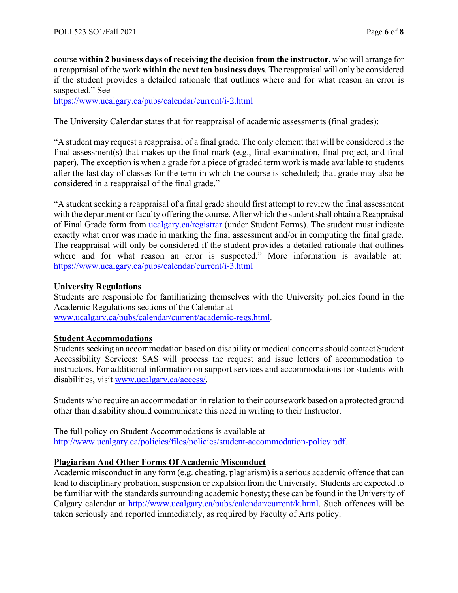course **within 2 business days of receiving the decision from the instructor**, who will arrange for a reappraisal of the work **within the next ten business days**. The reappraisal will only be considered if the student provides a detailed rationale that outlines where and for what reason an error is suspected." See

<https://www.ucalgary.ca/pubs/calendar/current/i-2.html>

The University Calendar states that for reappraisal of academic assessments (final grades):

"A student may request a reappraisal of a final grade. The only element that will be considered is the final assessment(s) that makes up the final mark (e.g., final examination, final project, and final paper). The exception is when a grade for a piece of graded term work is made available to students after the last day of classes for the term in which the course is scheduled; that grade may also be considered in a reappraisal of the final grade."

"A student seeking a reappraisal of a final grade should first attempt to review the final assessment with the department or faculty offering the course. After which the student shall obtain a Reappraisal of Final Grade form from [ucalgary.ca/registrar](https://www.ucalgary.ca/registrar/home) (under Student Forms). The student must indicate exactly what error was made in marking the final assessment and/or in computing the final grade. The reappraisal will only be considered if the student provides a detailed rationale that outlines where and for what reason an error is suspected." More information is available at: <https://www.ucalgary.ca/pubs/calendar/current/i-3.html>

### **University Regulations**

Students are responsible for familiarizing themselves with the University policies found in the Academic Regulations sections of the Calendar at [www.ucalgary.ca/pubs/calendar/current/academic-regs.html.](http://www.ucalgary.ca/pubs/calendar/current/academic-regs.html)

### **Student Accommodations**

Students seeking an accommodation based on disability or medical concerns should contact Student Accessibility Services; SAS will process the request and issue letters of accommodation to instructors. For additional information on support services and accommodations for students with disabilities, visit [www.ucalgary.ca/access/.](http://www.ucalgary.ca/access/)

Students who require an accommodation in relation to their coursework based on a protected ground other than disability should communicate this need in writing to their Instructor.

The full policy on Student Accommodations is available at [http://www.ucalgary.ca/policies/files/policies/student-accommodation-policy.pdf.](http://www.ucalgary.ca/policies/files/policies/student-accommodation-policy.pdf)

## **Plagiarism And Other Forms Of Academic Misconduct**

Academic misconduct in any form (e.g. cheating, plagiarism) is a serious academic offence that can lead to disciplinary probation, suspension or expulsion from the University. Students are expected to be familiar with the standards surrounding academic honesty; these can be found in the University of Calgary calendar at [http://www.ucalgary.ca/pubs/calendar/current/k.html.](http://www.ucalgary.ca/pubs/calendar/current/k.html) Such offences will be taken seriously and reported immediately, as required by Faculty of Arts policy.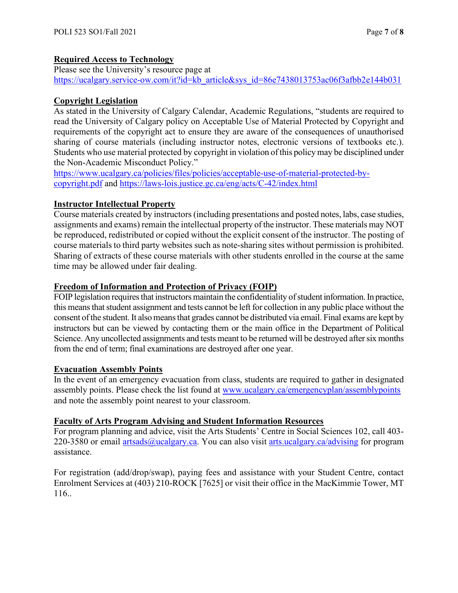## **Required Access to Technology**

Please see the University's resource page at [https://ucalgary.service-ow.com/it?id=kb\\_article&sys\\_id=86e7438013753ac06f3afbb2e144b031](https://ucalgary.service-ow.com/it?id=kb_article&sys_id=86e7438013753ac06f3afbb2e144b031)

# **Copyright Legislation**

As stated in the University of Calgary Calendar, Academic Regulations, "students are required to read the University of Calgary policy on Acceptable Use of Material Protected by Copyright and requirements of the copyright act to ensure they are aware of the consequences of unauthorised sharing of course materials (including instructor notes, electronic versions of textbooks etc.). Students who use material protected by copyright in violation of this policy may be disciplined under the Non-Academic Misconduct Policy."

[https://www.ucalgary.ca/policies/files/policies/acceptable-use-of-material-protected-by](https://www.ucalgary.ca/policies/files/policies/acceptable-use-of-material-protected-by-copyright.pdf)[copyright.pdf](https://www.ucalgary.ca/policies/files/policies/acceptable-use-of-material-protected-by-copyright.pdf) and<https://laws-lois.justice.gc.ca/eng/acts/C-42/index.html>

# **Instructor Intellectual Property**

Course materials created by instructors (including presentations and posted notes, labs, case studies, assignments and exams) remain the intellectual property of the instructor. These materials may NOT be reproduced, redistributed or copied without the explicit consent of the instructor. The posting of course materials to third party websites such as note-sharing sites without permission is prohibited. Sharing of extracts of these course materials with other students enrolled in the course at the same time may be allowed under fair dealing.

## **Freedom of Information and Protection of Privacy (FOIP)**

FOIP legislation requires that instructors maintain the confidentiality of student information. In practice, this means that student assignment and tests cannot be left for collection in any public place without the consent of the student. It also means that grades cannot be distributed via email. Final exams are kept by instructors but can be viewed by contacting them or the main office in the Department of Political Science. Any uncollected assignments and tests meant to be returned will be destroyed after six months from the end of term; final examinations are destroyed after one year.

## **Evacuation Assembly Points**

In the event of an emergency evacuation from class, students are required to gather in designated assembly points. Please check the list found at [www.ucalgary.ca/emergencyplan/assemblypoints](http://www.ucalgary.ca/emergencyplan/assemblypoints) and note the assembly point nearest to your classroom.

## **Faculty of Arts Program Advising and Student Information Resources**

For program planning and advice, visit the Arts Students' Centre in Social Sciences 102, call 403 220-3580 or email [artsads@ucalgary.ca.](mailto:artsads@ucalgary.ca) You can also visit [arts.ucalgary.ca/advising](http://arts.ucalgary.ca/advising) for program assistance.

For registration (add/drop/swap), paying fees and assistance with your Student Centre, contact Enrolment Services at (403) 210-ROCK [7625] or visit their office in the MacKimmie Tower, MT 116..